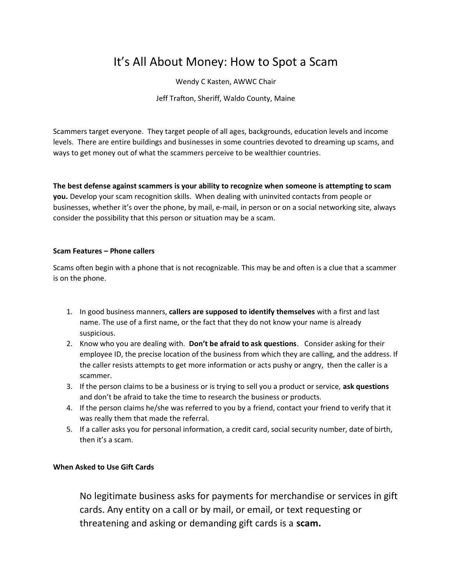# It's All About Money: How to Spot a Scam

Wendy C Kasten, AWWC Chair

Jeff Trafton, Sheriff, Waldo County, Maine

Scammers target everyone. They target people of all ages, backgrounds, education levels and income levels. There are entire buildings and businesses in some countries devoted to dreaming up scams, and ways to get money out of what the scammers perceive to be wealthier countries.

**The best defense against scammers is your ability to recognize when someone is attempting to scam you.** Develop your scam recognition skills. When dealing with uninvited contacts from people or businesses, whether it's over the phone, by mail, e-mail, in person or on a social networking site, always consider the possibility that this person or situation may be a scam.

### **Scam Features – Phone callers**

Scams often begin with a phone that is not recognizable. This may be and often is a clue that a scammer is on the phone.

- 1. In good business manners, **callers are supposed to identify themselves** with a first and last name. The use of a first name, or the fact that they do not know your name is already suspicious.
- 2. Know who you are dealing with. **Don't be afraid to ask questions**. Consider asking for their employee ID, the precise location of the business from which they are calling, and the address. If the caller resists attempts to get more information or acts pushy or angry, then the caller is a scammer.
- 3. If the person claims to be a business or is trying to sell you a product or service, **ask questions** and don't be afraid to take the time to research the business or products.
- 4. If the person claims he/she was referred to you by a friend, contact your friend to verify that it was really them that made the referral.
- 5. If a caller asks you for personal information, a credit card, social security number, date of birth, then it's a scam.

### **When Asked to Use Gift Cards**

No legitimate business asks for payments for merchandise or services in gift cards. Any entity on a call or by mail, or email, or text requesting or threatening and asking or demanding gift cards is a **scam.**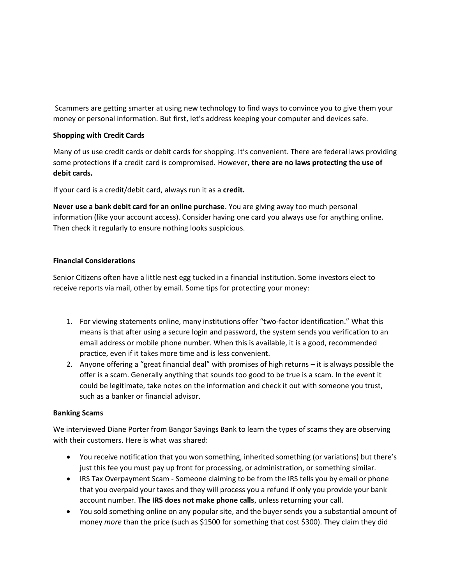Scammers are getting smarter at using new technology to find ways to convince you to give them your money or personal information. But first, let's address keeping your computer and devices safe.

### **Shopping with Credit Cards**

Many of us use credit cards or debit cards for shopping. It's convenient. There are federal laws providing some protections if a credit card is compromised. However, **there are no laws protecting the use of debit cards.**

If your card is a credit/debit card, always run it as a **credit.**

**Never use a bank debit card for an online purchase**. You are giving away too much personal information (like your account access). Consider having one card you always use for anything online. Then check it regularly to ensure nothing looks suspicious.

#### **Financial Considerations**

Senior Citizens often have a little nest egg tucked in a financial institution. Some investors elect to receive reports via mail, other by email. Some tips for protecting your money:

- 1. For viewing statements online, many institutions offer "two-factor identification." What this means is that after using a secure login and password, the system sends you verification to an email address or mobile phone number. When this is available, it is a good, recommended practice, even if it takes more time and is less convenient.
- 2. Anyone offering a "great financial deal" with promises of high returns it is always possible the offer is a scam. Generally anything that sounds too good to be true is a scam. In the event it could be legitimate, take notes on the information and check it out with someone you trust, such as a banker or financial advisor.

#### **Banking Scams**

We interviewed Diane Porter from Bangor Savings Bank to learn the types of scams they are observing with their customers. Here is what was shared:

- You receive notification that you won something, inherited something (or variations) but there's just this fee you must pay up front for processing, or administration, or something similar.
- IRS Tax Overpayment Scam Someone claiming to be from the IRS tells you by email or phone that you overpaid your taxes and they will process you a refund if only you provide your bank account number. **The IRS does not make phone calls**, unless returning your call.
- You sold something online on any popular site, and the buyer sends you a substantial amount of money *more* than the price (such as \$1500 for something that cost \$300). They claim they did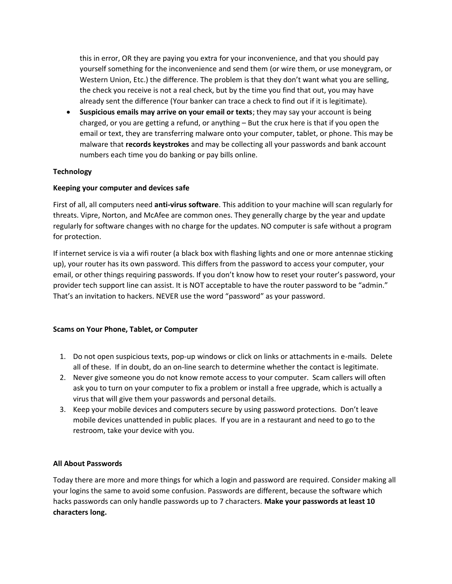this in error, OR they are paying you extra for your inconvenience, and that you should pay yourself something for the inconvenience and send them (or wire them, or use moneygram, or Western Union, Etc.) the difference. The problem is that they don't want what you are selling, the check you receive is not a real check, but by the time you find that out, you may have already sent the difference (Your banker can trace a check to find out if it is legitimate).

• **Suspicious emails may arrive on your email or texts**; they may say your account is being charged, or you are getting a refund, or anything – But the crux here is that if you open the email or text, they are transferring malware onto your computer, tablet, or phone. This may be malware that **records keystrokes** and may be collecting all your passwords and bank account numbers each time you do banking or pay bills online.

## **Technology**

### **Keeping your computer and devices safe**

First of all, all computers need **anti-virus software**. This addition to your machine will scan regularly for threats. Vipre, Norton, and McAfee are common ones. They generally charge by the year and update regularly for software changes with no charge for the updates. NO computer is safe without a program for protection.

If internet service is via a wifi router (a black box with flashing lights and one or more antennae sticking up), your router has its own password. This differs from the password to access your computer, your email, or other things requiring passwords. If you don't know how to reset your router's password, your provider tech support line can assist. It is NOT acceptable to have the router password to be "admin." That's an invitation to hackers. NEVER use the word "password" as your password.

### **Scams on Your Phone, Tablet, or Computer**

- 1. Do not open suspicious texts, pop-up windows or click on links or attachments in e-mails. Delete all of these. If in doubt, do an on-line search to determine whether the contact is legitimate.
- 2. Never give someone you do not know remote access to your computer. Scam callers will often ask you to turn on your computer to fix a problem or install a free upgrade, which is actually a virus that will give them your passwords and personal details.
- 3. Keep your mobile devices and computers secure by using password protections. Don't leave mobile devices unattended in public places. If you are in a restaurant and need to go to the restroom, take your device with you.

### **All About Passwords**

Today there are more and more things for which a login and password are required. Consider making all your logins the same to avoid some confusion. Passwords are different, because the software which hacks passwords can only handle passwords up to 7 characters. **Make your passwords at least 10 characters long.**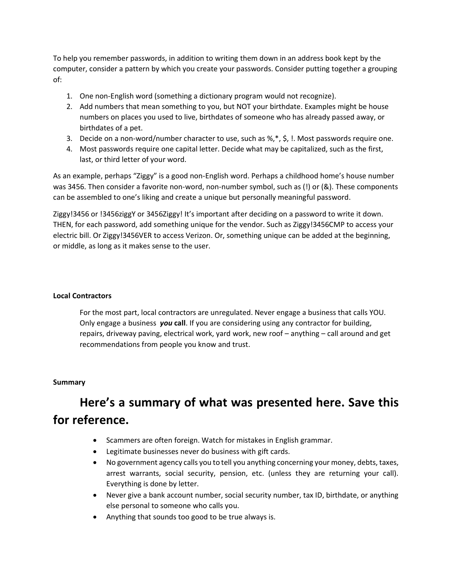To help you remember passwords, in addition to writing them down in an address book kept by the computer, consider a pattern by which you create your passwords. Consider putting together a grouping of:

- 1. One non-English word (something a dictionary program would not recognize).
- 2. Add numbers that mean something to you, but NOT your birthdate. Examples might be house numbers on places you used to live, birthdates of someone who has already passed away, or birthdates of a pet.
- 3. Decide on a non-word/number character to use, such as %,\*, \$, !. Most passwords require one.
- 4. Most passwords require one capital letter. Decide what may be capitalized, such as the first, last, or third letter of your word.

As an example, perhaps "Ziggy" is a good non-English word. Perhaps a childhood home's house number was 3456. Then consider a favorite non-word, non-number symbol, such as (!) or (&). These components can be assembled to one's liking and create a unique but personally meaningful password.

Ziggy!3456 or !3456ziggY or 3456Ziggy! It's important after deciding on a password to write it down. THEN, for each password, add something unique for the vendor. Such as Ziggy!3456CMP to access your electric bill. Or Ziggy!3456VER to access Verizon. Or, something unique can be added at the beginning, or middle, as long as it makes sense to the user.

### **Local Contractors**

For the most part, local contractors are unregulated. Never engage a business that calls YOU. Only engage a business *you* **call**. If you are considering using any contractor for building, repairs, driveway paving, electrical work, yard work, new roof – anything – call around and get recommendations from people you know and trust.

### **Summary**

# **Here's a summary of what was presented here. Save this for reference.**

- Scammers are often foreign. Watch for mistakes in English grammar.
- Legitimate businesses never do business with gift cards.
- No government agency calls you to tell you anything concerning your money, debts, taxes, arrest warrants, social security, pension, etc. (unless they are returning your call). Everything is done by letter.
- Never give a bank account number, social security number, tax ID, birthdate, or anything else personal to someone who calls you.
- Anything that sounds too good to be true always is.